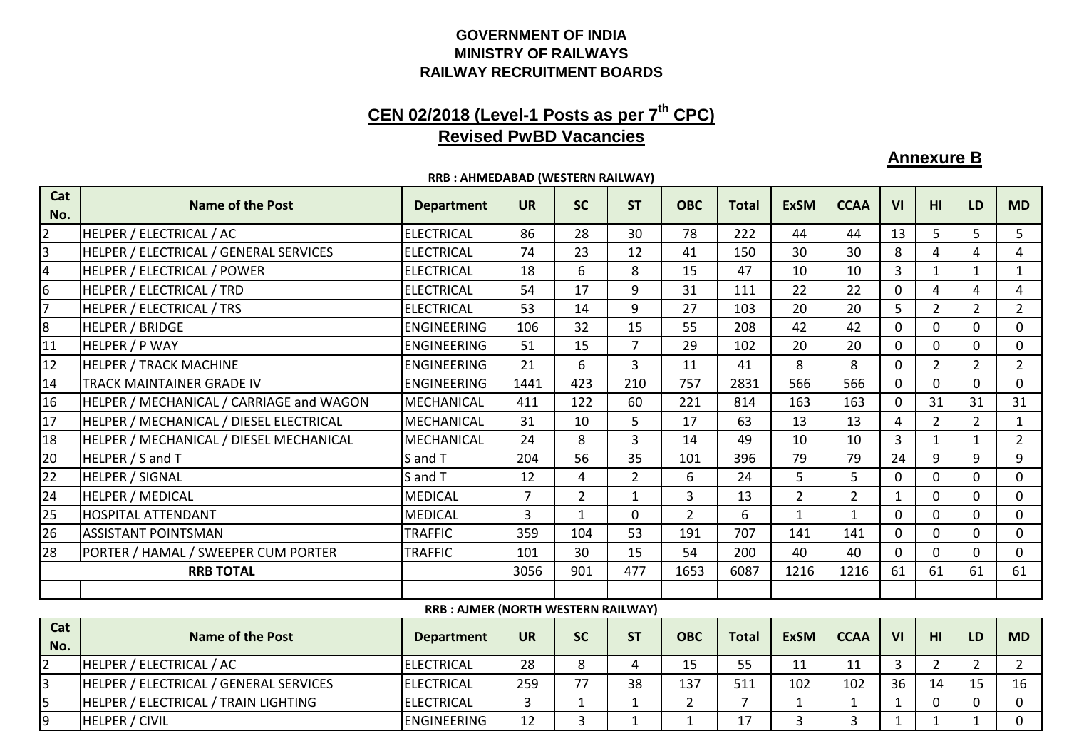## **RAILWAY RECRUITMENT BOARDS MINISTRY OF RAILWAYSGOVERNMENT OF INDIA**

## **CEN 02/2018 (Level-1 Posts as per 7th CPC)Revised PwBD Vacancies**

**Annexure B**

16

 $\mathbf 0$ 

 $\Omega$ 

|                | KKB: AHMEDABAD (WESTERN KAILWAY)         |                                           |                |                |                |                |              |                |                |                |                 |                |                |
|----------------|------------------------------------------|-------------------------------------------|----------------|----------------|----------------|----------------|--------------|----------------|----------------|----------------|-----------------|----------------|----------------|
| Cat<br>No.     | <b>Name of the Post</b>                  | <b>Department</b>                         | <b>UR</b>      | <b>SC</b>      | <b>ST</b>      | <b>OBC</b>     | <b>Total</b> | <b>ExSM</b>    | <b>CCAA</b>    | VI             | HI              | <b>LD</b>      | <b>MD</b>      |
| $\overline{2}$ | HELPER / ELECTRICAL / AC                 | <b>ELECTRICAL</b>                         | 86             | 28             | 30             | 78             | 222          | 44             | 44             | 13             | 5               | 5              | 5              |
| 3              | HELPER / ELECTRICAL / GENERAL SERVICES   | <b>ELECTRICAL</b>                         | 74             | 23             | 12             | 41             | 150          | 30             | 30             | 8              | 4               | 4              | $\overline{4}$ |
| 4              | HELPER / ELECTRICAL / POWER              | <b>ELECTRICAL</b>                         | 18             | 6              | 8              | 15             | 47           | 10             | 10             | $\overline{3}$ | $\mathbf{1}$    | $\mathbf{1}$   | $\mathbf{1}$   |
| 6              | HELPER / ELECTRICAL / TRD                | <b>ELECTRICAL</b>                         | 54             | 17             | 9              | 31             | 111          | 22             | 22             | $\Omega$       | 4               | 4              | 4              |
| $\overline{7}$ | HELPER / ELECTRICAL / TRS                | <b>ELECTRICAL</b>                         | 53             | 14             | 9              | 27             | 103          | 20             | 20             | 5              | $\overline{2}$  | $\overline{2}$ | $\overline{2}$ |
| 8              | HELPER / BRIDGE                          | <b>ENGINEERING</b>                        | 106            | 32             | 15             | 55             | 208          | 42             | 42             | $\Omega$       | $\Omega$        | $\Omega$       | $\mathbf 0$    |
| 11             | HELPER / P WAY                           | <b>ENGINEERING</b>                        | 51             | 15             | 7              | 29             | 102          | 20             | 20             | $\mathbf{0}$   | $\Omega$        | $\mathbf{0}$   | $\mathbf 0$    |
| 12             | <b>HELPER / TRACK MACHINE</b>            | <b>ENGINEERING</b>                        | 21             | 6              | 3              | 11             | 41           | 8              | 8              | $\mathbf 0$    | 2               | $\overline{2}$ | $\overline{2}$ |
| 14             | <b>TRACK MAINTAINER GRADE IV</b>         | <b>ENGINEERING</b>                        | 1441           | 423            | 210            | 757            | 2831         | 566            | 566            | 0              | $\Omega$        | $\mathbf{0}$   | $\mathbf 0$    |
| 16             | HELPER / MECHANICAL / CARRIAGE and WAGON | <b>MECHANICAL</b>                         | 411            | 122            | 60             | 221            | 814          | 163            | 163            | $\mathbf 0$    | 31              | 31             | 31             |
| 17             | HELPER / MECHANICAL / DIESEL ELECTRICAL  | MECHANICAL                                | 31             | 10             | 5              | 17             | 63           | 13             | 13             | 4              | $\overline{2}$  | $\overline{2}$ | $\mathbf{1}$   |
| 18             | HELPER / MECHANICAL / DIESEL MECHANICAL  | MECHANICAL                                | 24             | 8              | 3              | 14             | 49           | 10             | 10             | $\overline{3}$ | 1               | $\mathbf{1}$   | $\overline{2}$ |
| 20             | HELPER / S and T                         | S and T                                   | 204            | 56             | 35             | 101            | 396          | 79             | 79             | 24             | 9               | 9              | 9              |
| 22             | <b>HELPER / SIGNAL</b>                   | S and T                                   | 12             | 4              | $\overline{2}$ | 6              | 24           | 5.             | 5              | $\mathbf{0}$   | $\Omega$        | $\Omega$       | $\mathbf 0$    |
| 24             | <b>HELPER / MEDICAL</b>                  | <b>MEDICAL</b>                            | $\overline{7}$ | $\overline{2}$ | 1              | $\overline{3}$ | 13           | $\overline{2}$ | $\overline{2}$ | $\mathbf{1}$   | $\mathbf 0$     | $\mathbf{0}$   | $\mathbf 0$    |
| 25             | <b>HOSPITAL ATTENDANT</b>                | <b>MEDICAL</b>                            | $\overline{3}$ | $\mathbf{1}$   | $\mathbf 0$    | $\overline{2}$ | 6            |                | 1              | $\mathbf{0}$   | $\Omega$        | $\overline{0}$ | $\mathbf 0$    |
| 26             | <b>ASSISTANT POINTSMAN</b>               | <b>TRAFFIC</b>                            | 359            | 104            | 53             | 191            | 707          | 141            | 141            | $\mathbf{0}$   | $\Omega$        | $\mathbf{0}$   | $\mathbf 0$    |
| 28             | PORTER / HAMAL / SWEEPER CUM PORTER      | <b>TRAFFIC</b>                            | 101            | 30             | 15             | 54             | 200          | 40             | 40             | $\Omega$       | $\Omega$        | $\overline{0}$ | $\mathbf 0$    |
|                | <b>RRB TOTAL</b>                         |                                           | 3056           | 901            | 477            | 1653           | 6087         | 1216           | 1216           | 61             | 61              | 61             | 61             |
|                |                                          |                                           |                |                |                |                |              |                |                |                |                 |                |                |
|                |                                          | <b>RRB: AJMER (NORTH WESTERN RAILWAY)</b> |                |                |                |                |              |                |                |                |                 |                |                |
| Cat<br>No.     | <b>Name of the Post</b>                  | <b>Department</b>                         | <b>UR</b>      | <b>SC</b>      | <b>ST</b>      | <b>OBC</b>     | <b>Total</b> | <b>ExSM</b>    | <b>CCAA</b>    | VI             | H <sub>II</sub> | <b>LD</b>      | <b>MD</b>      |

<sup>2</sup> HELPER / ELECTRICAL / AC ELECTRICAL <sup>28</sup> <sup>8</sup> <sup>4</sup> <sup>15</sup> <sup>55</sup> <sup>11</sup> <sup>11</sup> <sup>3</sup> <sup>2</sup> <sup>2</sup> <sup>2</sup>

9 |HELPER / CIVIL | ENGINEERING | 12 | 3 | 1 | 1 | 17 | 3 | 3 | 1 | 1 | 1 | 0

3 HELPER / ELECTRICAL / GENERAL SERVICES | ELECTRICAL | 259 | 77 | 38 | 137 | 511 | 102 | 102 | 36 | 14 | 15<br>5 | HELPER / ELECTRICAL / TRAIN LIGHTING | ELECTRICAL | 3 | 1 | 1 | 2 | 7 | 1 | 1 | 1 | 0 | 0

5 | HELPER / ELECTRICAL / TRAIN LIGHTING | ELECTRICAL | 3 | 1 | 1 | 2 | 7 | 1 | 1 | 1 | 0 | 0<br>| 9 | HELPER / CIVIL | ENGINEERING | 12 | 3 | 1 | 1 | 17 | 3 | 3 | 1 | 1 | 1

**RRB : AHMEDABAD (WESTERN RAILWAY)**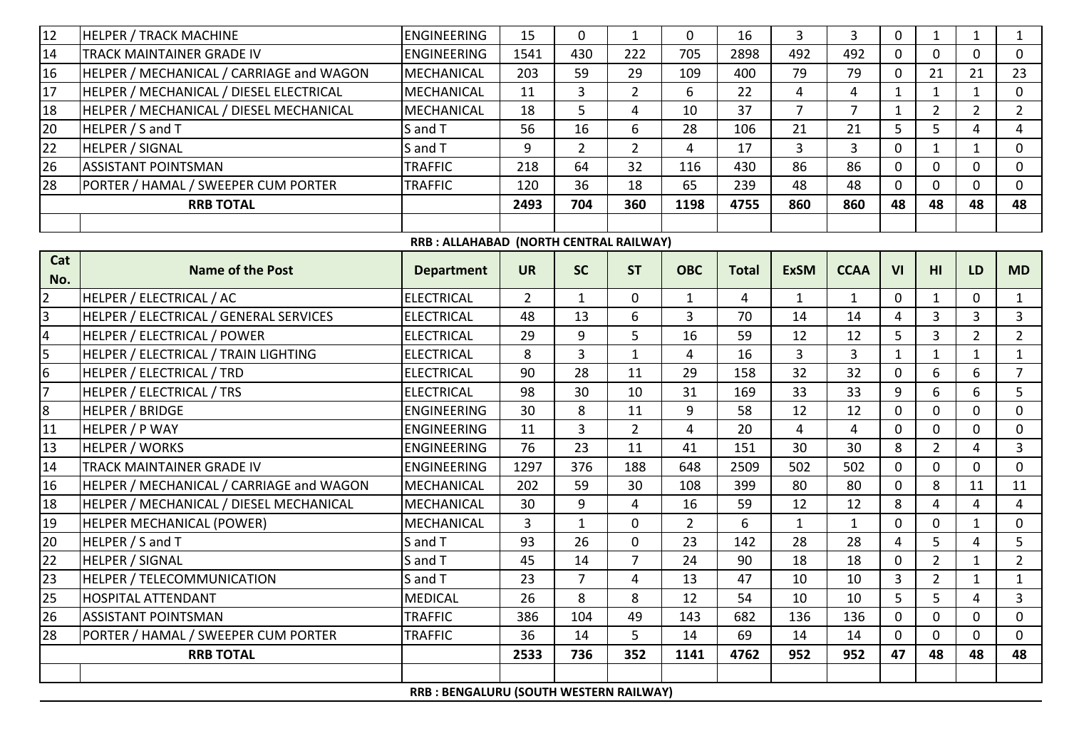| 12              | <b>HELPER / TRACK MACHINE</b>            | <b>ENGINEERING</b>                      | 15             | $\mathbf 0$    | $\mathbf{1}$   | $\mathbf 0$    | 16           | 3              | 3            | $\mathbf 0$    | $\mathbf{1}$    | $\mathbf{1}$   | $\mathbf{1}$   |
|-----------------|------------------------------------------|-----------------------------------------|----------------|----------------|----------------|----------------|--------------|----------------|--------------|----------------|-----------------|----------------|----------------|
| 14              | TRACK MAINTAINER GRADE IV                | <b>ENGINEERING</b>                      | 1541           | 430            | 222            | 705            | 2898         | 492            | 492          | $\mathbf 0$    | $\mathbf{0}$    | $\overline{0}$ | $\mathbf 0$    |
| 16              | HELPER / MECHANICAL / CARRIAGE and WAGON | <b>MECHANICAL</b>                       | 203            | 59             | 29             | 109            | 400          | 79             | 79           | $\mathbf 0$    | 21              | 21             | 23             |
| 17              | HELPER / MECHANICAL / DIESEL ELECTRICAL  | <b>MECHANICAL</b>                       | 11             | 3              | $\overline{2}$ | 6              | 22           | 4              | 4            | $\mathbf{1}$   | $\mathbf{1}$    | $\mathbf{1}$   | $\mathbf 0$    |
| 18              | HELPER / MECHANICAL / DIESEL MECHANICAL  | <b>MECHANICAL</b>                       | 18             | 5              | 4              | 10             | 37           | 7              | 7            | $\mathbf{1}$   | $\overline{2}$  | $\overline{2}$ | $\overline{2}$ |
| 20              | HELPER / S and T                         | S and T                                 | 56             | 16             | 6              | 28             | 106          | 21             | 21           | 5              | 5               | $\overline{4}$ | $\overline{4}$ |
| 22              | <b>HELPER / SIGNAL</b>                   | S and T                                 | 9              | $\overline{2}$ | $\overline{2}$ | 4              | 17           | $\overline{3}$ | 3            | 0              | $\mathbf{1}$    | $\mathbf{1}$   | $\mathbf 0$    |
| 26              | <b>ASSISTANT POINTSMAN</b>               | <b>TRAFFIC</b>                          | 218            | 64             | 32             | 116            | 430          | 86             | 86           | $\mathbf 0$    | $\Omega$        | $\Omega$       | $\mathbf{0}$   |
| 28              | PORTER / HAMAL / SWEEPER CUM PORTER      | <b>TRAFFIC</b>                          | 120            | 36             | 18             | 65             | 239          | 48             | 48           | $\mathbf 0$    | 0               | $\mathbf{0}$   | $\mathbf 0$    |
|                 | <b>RRB TOTAL</b>                         |                                         | 2493           | 704            | 360            | 1198           | 4755         | 860            | 860          | 48             | 48              | 48             | 48             |
|                 |                                          |                                         |                |                |                |                |              |                |              |                |                 |                |                |
|                 |                                          | RRB : ALLAHABAD (NORTH CENTRAL RAILWAY) |                |                |                |                |              |                |              |                |                 |                |                |
| Cat             | <b>Name of the Post</b>                  | <b>Department</b>                       | <b>UR</b>      | <b>SC</b>      | <b>ST</b>      | <b>OBC</b>     | <b>Total</b> | <b>ExSM</b>    | <b>CCAA</b>  | VI             | H <sub>II</sub> | LD             | <b>MD</b>      |
| No.             |                                          |                                         |                |                |                |                |              |                |              |                |                 |                |                |
| $\overline{2}$  | HELPER / ELECTRICAL / AC                 | <b>ELECTRICAL</b>                       | $\overline{2}$ | $\mathbf{1}$   | $\mathbf 0$    | $\mathbf{1}$   | 4            | $\mathbf{1}$   | $\mathbf{1}$ | $\mathbf 0$    | $\mathbf{1}$    | 0              | $\mathbf{1}$   |
| 3               | HELPER / ELECTRICAL / GENERAL SERVICES   | <b>ELECTRICAL</b>                       | 48             | 13             | 6              | 3              | 70           | 14             | 14           | 4              | 3               | 3              | $\mathbf{3}$   |
| $\overline{4}$  | HELPER / ELECTRICAL / POWER              | <b>ELECTRICAL</b>                       | 29             | 9              | 5              | 16             | 59           | 12             | 12           | 5              | $\overline{3}$  | $\overline{2}$ | $2^{\circ}$    |
| 5               | HELPER / ELECTRICAL / TRAIN LIGHTING     | <b>ELECTRICAL</b>                       | 8              | 3              | $\mathbf{1}$   | 4              | 16           | 3              | 3            | $\mathbf{1}$   | $\mathbf{1}$    | $\mathbf{1}$   | $\mathbf{1}$   |
| $6\overline{6}$ | HELPER / ELECTRICAL / TRD                | <b>ELECTRICAL</b>                       | 90             | 28             | 11             | 29             | 158          | 32             | 32           | $\mathbf 0$    | 6               | 6              | $\overline{7}$ |
| $\overline{7}$  | <b>HELPER / ELECTRICAL / TRS</b>         | <b>ELECTRICAL</b>                       | 98             | 30             | 10             | 31             | 169          | 33             | 33           | 9              | 6               | 6              | 5              |
| $\bf{8}$        | <b>HELPER / BRIDGE</b>                   | <b>ENGINEERING</b>                      | 30             | 8              | 11             | 9              | 58           | 12             | 12           | $\mathbf 0$    | $\Omega$        | $\Omega$       | $\mathbf{0}$   |
| 11              | <b>HELPER / P WAY</b>                    | <b>ENGINEERING</b>                      | 11             | 3              | $\overline{2}$ | 4              | 20           | 4              | 4            | $\mathbf 0$    | 0               | $\mathbf{0}$   | $\mathbf{0}$   |
| 13              | <b>HELPER / WORKS</b>                    | <b>ENGINEERING</b>                      | 76             | 23             | 11             | 41             | 151          | 30             | 30           | 8              | $\overline{2}$  | 4              | $\overline{3}$ |
| 14              | TRACK MAINTAINER GRADE IV                | <b>ENGINEERING</b>                      | 1297           | 376            | 188            | 648            | 2509         | 502            | 502          | $\mathbf 0$    | 0               | 0              | $\mathbf 0$    |
| 16              | HELPER / MECHANICAL / CARRIAGE and WAGON | <b>MECHANICAL</b>                       | 202            | 59             | 30             | 108            | 399          | 80             | 80           | $\mathbf 0$    | 8               | 11             | 11             |
| 18              | HELPER / MECHANICAL / DIESEL MECHANICAL  | MECHANICAL                              | 30             | 9              | 4              | 16             | 59           | 12             | 12           | 8              | 4               | 4              | $\overline{4}$ |
| 19              | HELPER MECHANICAL (POWER)                | <b>MECHANICAL</b>                       | 3              | $\mathbf{1}$   | $\mathbf 0$    | $\overline{2}$ | 6            | $\mathbf{1}$   | $\mathbf{1}$ | $\overline{0}$ | 0               | $\mathbf{1}$   | $\mathbf 0$    |
| 20              | HELPER / S and T                         | S and T                                 | 93             | 26             | $\mathbf 0$    | 23             | 142          | 28             | 28           | $\overline{4}$ | 5               | $\overline{4}$ | 5              |
| 22              | <b>HELPER / SIGNAL</b>                   | S and T                                 | 45             | 14             | 7              | 24             | 90           | 18             | 18           | 0              | $\overline{2}$  | 1              | $2^{\circ}$    |
| 23              | <b>HELPER / TELECOMMUNICATION</b>        | S and T                                 | 23             | $\overline{7}$ | $\overline{4}$ | 13             | 47           | 10             | 10           | 3              | $\overline{2}$  | 1              | $\mathbf{1}$   |
| 25              | <b>HOSPITAL ATTENDANT</b>                | <b>MEDICAL</b>                          | 26             | 8              | 8              | 12             | 54           | 10             | 10           | 5              | 5.              | 4              | 3              |
| 26              | <b>ASSISTANT POINTSMAN</b>               | <b>TRAFFIC</b>                          | 386            | 104            | 49             | 143            | 682          | 136            | 136          | $\overline{0}$ | $\Omega$        | 0              | $\Omega$       |
| 28              | PORTER / HAMAL / SWEEPER CUM PORTER      | <b>TRAFFIC</b>                          | 36             | 14             | 5              | 14             | 69           | 14             | 14           | 0              | 0               | 0              | 0              |
|                 | <b>RRB TOTAL</b>                         |                                         | 2533           | 736            | 352            | 1141           | 4762         | 952            | 952          | 47             | 48              | 48             | 48             |
|                 |                                          |                                         |                |                |                |                |              |                |              |                |                 |                |                |
|                 |                                          | RRB : BENGALURU (SOUTH WESTERN RAILWAY) |                |                |                |                |              |                |              |                |                 |                |                |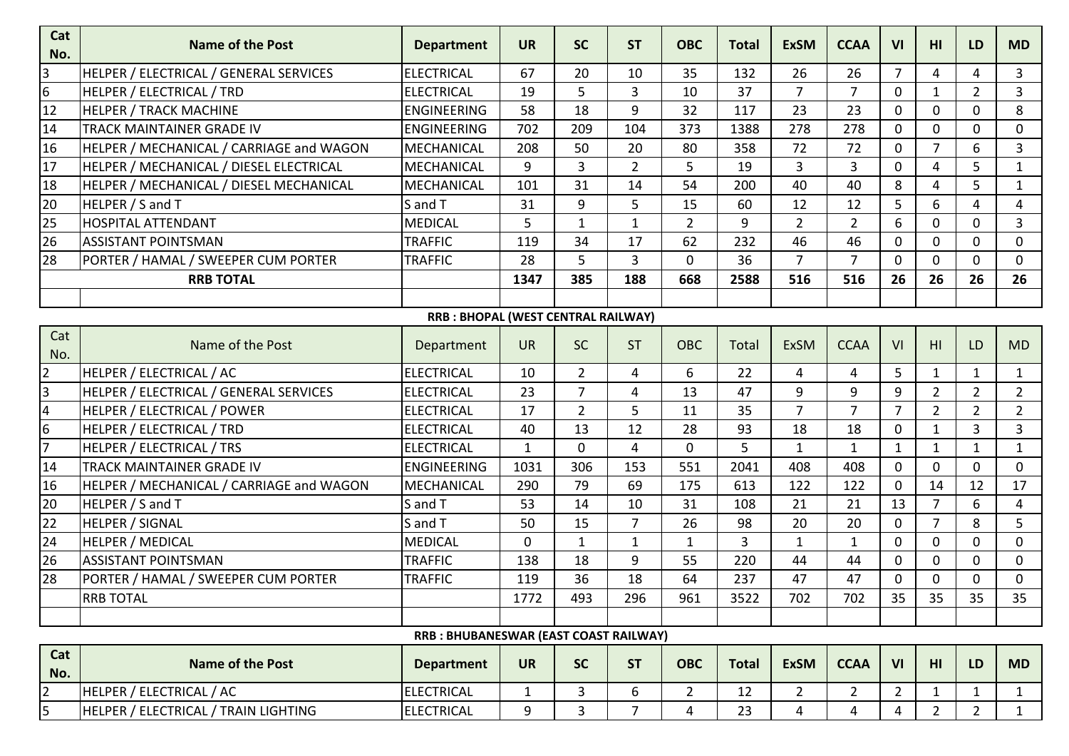| Cat<br>No.              | <b>Name of the Post</b>                  | <b>Department</b>                     | <b>UR</b>    | <b>SC</b>      | <b>ST</b>      | <b>OBC</b>     | <b>Total</b> | <b>ExSM</b>    | <b>CCAA</b>    | VI             | HI              | LD             | <b>MD</b>      |
|-------------------------|------------------------------------------|---------------------------------------|--------------|----------------|----------------|----------------|--------------|----------------|----------------|----------------|-----------------|----------------|----------------|
| 3                       | HELPER / ELECTRICAL / GENERAL SERVICES   | <b>ELECTRICAL</b>                     | 67           | 20             | 10             | 35             | 132          | 26             | 26             | $\overline{7}$ | 4               | 4              | 3              |
| $\overline{6}$          | <b>HELPER / ELECTRICAL / TRD</b>         | <b>ELECTRICAL</b>                     | 19           | 5              | 3              | 10             | 37           | $\overline{7}$ | $\overline{7}$ | $\mathbf 0$    | $\mathbf{1}$    | $\overline{2}$ | $\overline{3}$ |
| 12                      | <b>HELPER / TRACK MACHINE</b>            | <b>ENGINEERING</b>                    | 58           | 18             | 9              | 32             | 117          | 23             | 23             | $\mathbf 0$    | 0               | 0              | 8              |
| 14                      | TRACK MAINTAINER GRADE IV                | <b>ENGINEERING</b>                    | 702          | 209            | 104            | 373            | 1388         | 278            | 278            | $\mathbf 0$    | 0               | 0              | $\mathbf 0$    |
| 16                      | HELPER / MECHANICAL / CARRIAGE and WAGON | <b>MECHANICAL</b>                     | 208          | 50             | 20             | 80             | 358          | 72             | 72             | $\mathbf 0$    | $\overline{7}$  | 6              | $\overline{3}$ |
| 17                      | HELPER / MECHANICAL / DIESEL ELECTRICAL  | MECHANICAL                            | 9            | 3              | $\overline{2}$ | 5              | 19           | $\overline{3}$ | $\overline{3}$ | $\mathbf 0$    | 4               | 5              | $\mathbf{1}$   |
| 18                      | HELPER / MECHANICAL / DIESEL MECHANICAL  | <b>MECHANICAL</b>                     | 101          | 31             | 14             | 54             | 200          | 40             | 40             | 8              | 4               | 5              | $\mathbf{1}$   |
| 20                      | HELPER / S and T                         | S and T                               | 31           | 9              | 5              | 15             | 60           | 12             | 12             | 5              | 6               | 4              | $\overline{4}$ |
| 25                      | <b>HOSPITAL ATTENDANT</b>                | <b>MEDICAL</b>                        | 5            | $\mathbf 1$    | $\mathbf{1}$   | $\overline{2}$ | 9            | $\overline{2}$ | $\overline{2}$ | 6              | 0               | 0              | $\overline{3}$ |
| 26                      | <b>ASSISTANT POINTSMAN</b>               | <b>TRAFFIC</b>                        | 119          | 34             | 17             | 62             | 232          | 46             | 46             | $\mathbf 0$    | $\overline{0}$  | 0              | $\mathbf 0$    |
| 28                      | PORTER / HAMAL / SWEEPER CUM PORTER      | <b>TRAFFIC</b>                        | 28           | 5              | 3              | $\Omega$       | 36           | 7              | $\overline{7}$ | $\mathbf 0$    | 0               | 0              | $\mathbf 0$    |
|                         | <b>RRB TOTAL</b>                         |                                       | 1347         | 385            | 188            | 668            | 2588         | 516            | 516            | 26             | 26              | 26             | 26             |
|                         |                                          |                                       |              |                |                |                |              |                |                |                |                 |                |                |
|                         |                                          | RRB : BHOPAL (WEST CENTRAL RAILWAY)   |              |                |                |                |              |                |                |                |                 |                |                |
| Cat<br>No.              | Name of the Post                         | Department                            | <b>UR</b>    | <b>SC</b>      | <b>ST</b>      | <b>OBC</b>     | <b>Total</b> | <b>ExSM</b>    | <b>CCAA</b>    | VI             | H1              | LD             | <b>MD</b>      |
| $\overline{2}$          | HELPER / ELECTRICAL / AC                 | <b>ELECTRICAL</b>                     | 10           | $\overline{2}$ | 4              | 6              | 22           | 4              | 4              | 5              | $\mathbf{1}$    | $\mathbf{1}$   | $\mathbf{1}$   |
| 3                       | HELPER / ELECTRICAL / GENERAL SERVICES   | <b>ELECTRICAL</b>                     | 23           | $\overline{7}$ | 4              | 13             | 47           | 9              | 9              | 9              | $\overline{2}$  | $\overline{2}$ | $\overline{2}$ |
| $\overline{\mathbf{r}}$ | HELPER / ELECTRICAL / POWER              | <b>ELECTRICAL</b>                     | 17           | $\overline{2}$ | 5              | 11             | 35           | $\overline{7}$ | $\overline{7}$ | $\overline{7}$ | $\overline{2}$  | $\overline{2}$ | $\overline{2}$ |
| 6                       | HELPER / ELECTRICAL / TRD                | <b>ELECTRICAL</b>                     | 40           | 13             | 12             | 28             | 93           | 18             | 18             | $\mathbf 0$    | 1               | 3              | $\overline{3}$ |
| $\overline{7}$          | HELPER / ELECTRICAL / TRS                | <b>ELECTRICAL</b>                     | $\mathbf{1}$ | 0              | 4              | 0              | 5            | $\mathbf{1}$   | $\mathbf{1}$   | $\mathbf{1}$   | $\mathbf{1}$    | $\mathbf{1}$   | $\mathbf{1}$   |
| 14                      | TRACK MAINTAINER GRADE IV                | <b>ENGINEERING</b>                    | 1031         | 306            | 153            | 551            | 2041         | 408            | 408            | $\mathbf 0$    | 0               | 0              | $\mathbf 0$    |
| 16                      | HELPER / MECHANICAL / CARRIAGE and WAGON | MECHANICAL                            | 290          | 79             | 69             | 175            | 613          | 122            | 122            | $\mathbf 0$    | 14              | 12             | 17             |
| 20                      | HELPER / S and T                         | S and T                               | 53           | 14             | 10             | 31             | 108          | 21             | 21             | 13             | $\overline{7}$  | 6              | $\overline{4}$ |
| 22                      | <b>HELPER / SIGNAL</b>                   | S and T                               | 50           | 15             | $\overline{7}$ | 26             | 98           | 20             | 20             | $\mathbf 0$    | $\overline{7}$  | 8              | 5              |
| 24                      | <b>HELPER / MEDICAL</b>                  | <b>MEDICAL</b>                        | 0            | $\mathbf{1}$   | $\mathbf{1}$   | 1              | $\mathbf{3}$ | 1              | $\mathbf{1}$   | $\mathbf 0$    | 0               | 0              | $\mathbf 0$    |
| 26                      | <b>ASSISTANT POINTSMAN</b>               | <b>TRAFFIC</b>                        | 138          | 18             | 9              | 55             | 220          | 44             | 44             | $\mathbf 0$    | 0               | 0              | $\mathbf 0$    |
| 28                      | PORTER / HAMAL / SWEEPER CUM PORTER      | <b>TRAFFIC</b>                        | 119          | 36             | 18             | 64             | 237          | 47             | 47             | $\mathbf 0$    | 0               | 0              | $\mathbf 0$    |
|                         | <b>RRB TOTAL</b>                         |                                       | 1772         | 493            | 296            | 961            | 3522         | 702            | 702            | 35             | 35              | 35             | 35             |
|                         |                                          |                                       |              |                |                |                |              |                |                |                |                 |                |                |
|                         |                                          | RRB: BHUBANESWAR (EAST COAST RAILWAY) |              |                |                |                |              |                |                |                |                 |                |                |
| Cat<br>No.              | <b>Name of the Post</b>                  | <b>Department</b>                     | <b>UR</b>    | <b>SC</b>      | <b>ST</b>      | <b>OBC</b>     | <b>Total</b> | <b>ExSM</b>    | <b>CCAA</b>    | VI             | H <sub>II</sub> | LD             | <b>MD</b>      |
| $\overline{2}$          | HELPER / ELECTRICAL / AC                 | <b>ELECTRICAL</b>                     | $\mathbf{1}$ | $\overline{3}$ | 6              | $\overline{2}$ | 12           | $2^{\circ}$    | $2^{\circ}$    | $\overline{2}$ | $\mathbf{1}$    | $\mathbf{1}$   | $\mathbf{1}$   |
| 5                       | HELPER / ELECTRICAL / TRAIN LIGHTING     | <b>ELECTRICAL</b>                     | 9            | 3              | $\overline{7}$ | 4              | 23           | 4              | 4              | 4              | $\overline{2}$  | $\overline{2}$ | $\mathbf{1}$   |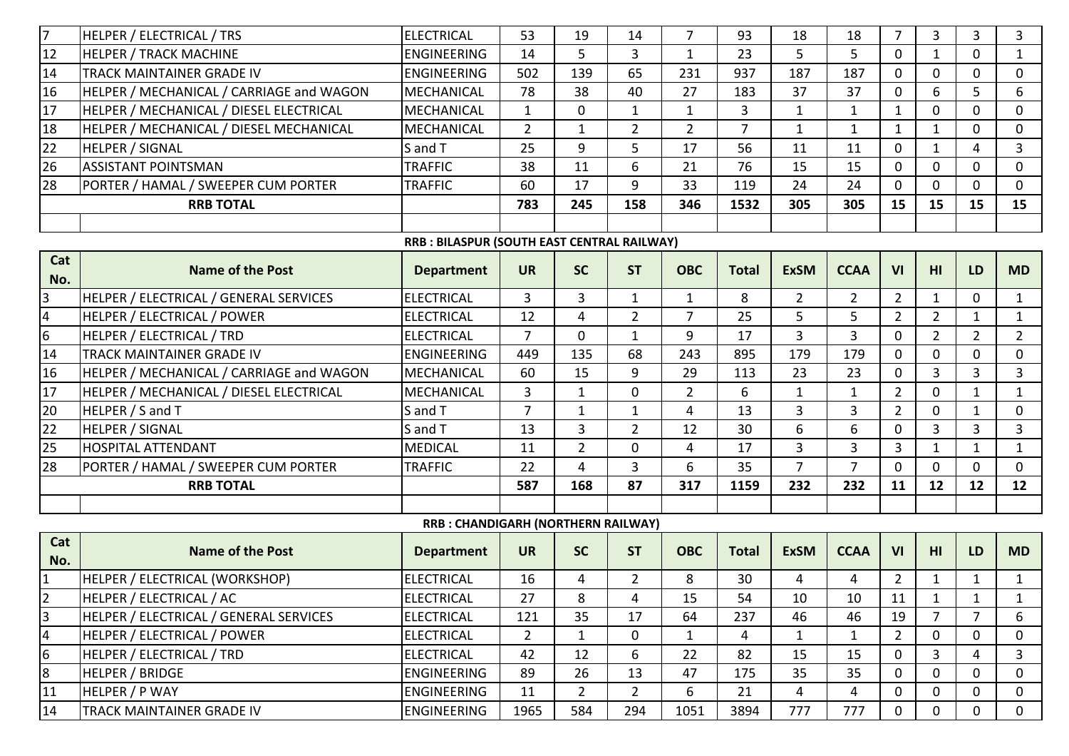| $\overline{7}$   | <b>HELPER / ELECTRICAL / TRS</b>         | <b>ELECTRICAL</b>                          | 53             | 19             | 14             | $\overline{7}$ | 93             | 18             | 18             | $\overline{7}$ | 3              | 3              | 3              |
|------------------|------------------------------------------|--------------------------------------------|----------------|----------------|----------------|----------------|----------------|----------------|----------------|----------------|----------------|----------------|----------------|
| 12               | <b>HELPER / TRACK MACHINE</b>            | <b>ENGINEERING</b>                         | 14             | 5              | 3              | $\mathbf{1}$   | 23             | 5              | 5              | $\mathbf 0$    | $\mathbf{1}$   | $\mathbf{0}$   | $\mathbf{1}$   |
| 14               | TRACK MAINTAINER GRADE IV                | <b>ENGINEERING</b>                         | 502            | 139            | 65             | 231            | 937            | 187            | 187            | $\mathbf 0$    | $\mathbf 0$    | 0              | $\mathbf 0$    |
| 16               | HELPER / MECHANICAL / CARRIAGE and WAGON | MECHANICAL                                 | 78             | 38             | 40             | 27             | 183            | 37             | 37             | $\mathbf{0}$   | 6              | 5              | 6              |
| 17               | HELPER / MECHANICAL / DIESEL ELECTRICAL  | <b>MECHANICAL</b>                          | $\mathbf{1}$   | $\mathbf 0$    | 1              | 1              | 3              | $\mathbf{1}$   | $\mathbf{1}$   | $\mathbf{1}$   | $\Omega$       | $\Omega$       | $\mathbf{0}$   |
| 18               | HELPER / MECHANICAL / DIESEL MECHANICAL  | <b>MECHANICAL</b>                          | $\overline{2}$ | $\mathbf{1}$   | $\overline{2}$ | $\overline{2}$ | $\overline{7}$ | $\mathbf{1}$   | $\mathbf{1}$   | $\mathbf{1}$   | $\mathbf{1}$   | $\Omega$       | $\mathbf 0$    |
| 22               | <b>HELPER / SIGNAL</b>                   | S and T                                    | 25             | 9              | 5              | 17             | 56             | 11             | 11             | 0              | $\mathbf{1}$   | 4              | 3              |
| 26               | <b>ASSISTANT POINTSMAN</b>               | <b>TRAFFIC</b>                             | 38             | 11             | 6              | 21             | 76             | 15             | 15             | $\mathbf 0$    | $\Omega$       | $\Omega$       | $\mathbf{0}$   |
| 28               | PORTER / HAMAL / SWEEPER CUM PORTER      | <b>TRAFFIC</b>                             | 60             | 17             | 9              | 33             | 119            | 24             | 24             | $\mathbf{0}$   | $\Omega$       | $\mathbf{0}$   | $\mathbf{0}$   |
|                  | <b>RRB TOTAL</b>                         |                                            | 783            | 245            | 158            | 346            | 1532           | 305            | 305            | 15             | 15             | 15             | 15             |
|                  |                                          |                                            |                |                |                |                |                |                |                |                |                |                |                |
|                  |                                          | RRB: BILASPUR (SOUTH EAST CENTRAL RAILWAY) |                |                |                |                |                |                |                |                |                |                |                |
| Cat<br>No.       | <b>Name of the Post</b>                  | <b>Department</b>                          | <b>UR</b>      | <b>SC</b>      | <b>ST</b>      | <b>OBC</b>     | <b>Total</b>   | <b>ExSM</b>    | <b>CCAA</b>    | VI             | HI             | LD             | <b>MD</b>      |
| $\overline{3}$   | HELPER / ELECTRICAL / GENERAL SERVICES   | <b>ELECTRICAL</b>                          | 3              | $\overline{3}$ | $\mathbf{1}$   | $\mathbf{1}$   | 8              | $2^{\circ}$    | $\overline{2}$ | $\overline{2}$ | $\mathbf{1}$   | $\mathbf 0$    | $\mathbf{1}$   |
| $\overline{4}$   | HELPER / ELECTRICAL / POWER              | <b>ELECTRICAL</b>                          | 12             | 4              | $\overline{2}$ | $\overline{7}$ | 25             | 5              | 5              | $2^{\circ}$    | $2^{\circ}$    | $\mathbf{1}$   | $\mathbf{1}$   |
| $\overline{6}$   | <b>HELPER / ELECTRICAL / TRD</b>         | <b>ELECTRICAL</b>                          | $\overline{7}$ | $\overline{0}$ | $\mathbf{1}$   | 9              | 17             | $\overline{3}$ | $\overline{3}$ | $\mathbf 0$    | $\overline{2}$ | $\overline{2}$ | $\overline{2}$ |
| 14               | <b>TRACK MAINTAINER GRADE IV</b>         | <b>ENGINEERING</b>                         | 449            | 135            | 68             | 243            | 895            | 179            | 179            | 0              | $\Omega$       | $\Omega$       | $\mathbf{0}$   |
| 16               | HELPER / MECHANICAL / CARRIAGE and WAGON | MECHANICAL                                 | 60             | 15             | 9              | 29             | 113            | 23             | 23             | $\mathbf 0$    | 3              | $\overline{3}$ | $\overline{3}$ |
| 17               | HELPER / MECHANICAL / DIESEL ELECTRICAL  | <b>MECHANICAL</b>                          | 3              | $\mathbf{1}$   | $\mathbf 0$    | $\overline{2}$ | 6              | $\mathbf{1}$   | 1              | $\overline{2}$ | 0              | 1              | $\mathbf{1}$   |
| 20               | HELPER / S and T                         | S and T                                    | $\overline{7}$ | $\mathbf{1}$   | $\mathbf{1}$   | 4              | 13             | $\overline{3}$ | $\overline{3}$ | $\overline{2}$ | $\Omega$       | $\mathbf{1}$   | $\mathbf{0}$   |
| $\overline{22}$  | <b>HELPER / SIGNAL</b>                   | S and T                                    | 13             | 3              | $\overline{2}$ | 12             | 30             | 6              | 6              | $\mathbf 0$    | 3              | $\overline{3}$ | $\overline{3}$ |
| 25               | <b>HOSPITAL ATTENDANT</b>                | <b>MEDICAL</b>                             | 11             | $\overline{2}$ | 0              | 4              | 17             | $\overline{3}$ | $\overline{3}$ | $\overline{3}$ | $\mathbf{1}$   | $\mathbf{1}$   | $\mathbf{1}$   |
| 28               | PORTER / HAMAL / SWEEPER CUM PORTER      | <b>TRAFFIC</b>                             | 22             | 4              | 3              | 6              | 35             | 7              | 7              | $\mathbf 0$    | 0              | $\mathbf{0}$   | $\mathbf 0$    |
|                  | <b>RRB TOTAL</b>                         |                                            | 587            | 168            | 87             | 317            | 1159           | 232            | 232            | 11             | 12             | 12             | 12             |
|                  |                                          |                                            |                |                |                |                |                |                |                |                |                |                |                |
|                  |                                          | RRB : CHANDIGARH (NORTHERN RAILWAY)        |                |                |                |                |                |                |                |                |                |                |                |
| Cat<br>No.       | <b>Name of the Post</b>                  | <b>Department</b>                          | <b>UR</b>      | <b>SC</b>      | <b>ST</b>      | <b>OBC</b>     | <b>Total</b>   | <b>ExSM</b>    | <b>CCAA</b>    | VI             | HI             | LD             | <b>MD</b>      |
| $\overline{1}$   | HELPER / ELECTRICAL (WORKSHOP)           | <b>ELECTRICAL</b>                          | 16             | 4              | $\overline{2}$ | 8              | 30             | 4              | 4              | $\overline{2}$ | 1              | $\mathbf{1}$   | $\mathbf{1}$   |
| 2                | HELPER / ELECTRICAL / AC                 | <b>ELECTRICAL</b>                          | 27             | 8              | 4              | 15             | 54             | 10             | 10             | 11             |                |                | $\mathbf{1}$   |
| $\vert$ 3        | HELPER / ELECTRICAL / GENERAL SERVICES   | <b>ELECTRICAL</b>                          | 121            | 35             | 17             | 64             | 237            | 46             | 46             | 19             | $\overline{7}$ | $\overline{7}$ | 6              |
| $\overline{4}$   | HELPER / ELECTRICAL / POWER              | <b>ELECTRICAL</b>                          | $\overline{2}$ | 1              | 0              | 1              | 4              | 1              |                | $\mathbf{2}$   | 0              | 0              | 0              |
| $6 \overline{6}$ | HELPER / ELECTRICAL / TRD                | <b>ELECTRICAL</b>                          | 42             | 12             | 6              | 22             | 82             | 15             | 15             | $\mathbf 0$    | 3              | 4              | $\mathbf{3}$   |
| $\overline{8}$   | <b>HELPER / BRIDGE</b>                   | <b>ENGINEERING</b>                         | 89             | 26             | 13             | 47             | 175            | 35             | 35             | 0              | 0              | $\Omega$       | $\Omega$       |
| 11               | HELPER / P WAY                           | <b>ENGINEERING</b>                         | 11             | $\overline{2}$ | $\overline{2}$ | 6              | 21             | $\overline{4}$ | 4              | 0              | 0              | 0              | $\mathbf{0}$   |
| 14               | TRACK MAINTAINER GRADE IV                | <b>ENGINEERING</b>                         | 1965           | 584            | 294            | 1051           | 3894           | 777            | 777            | 0              | 0              | 0              | $\mathbf 0$    |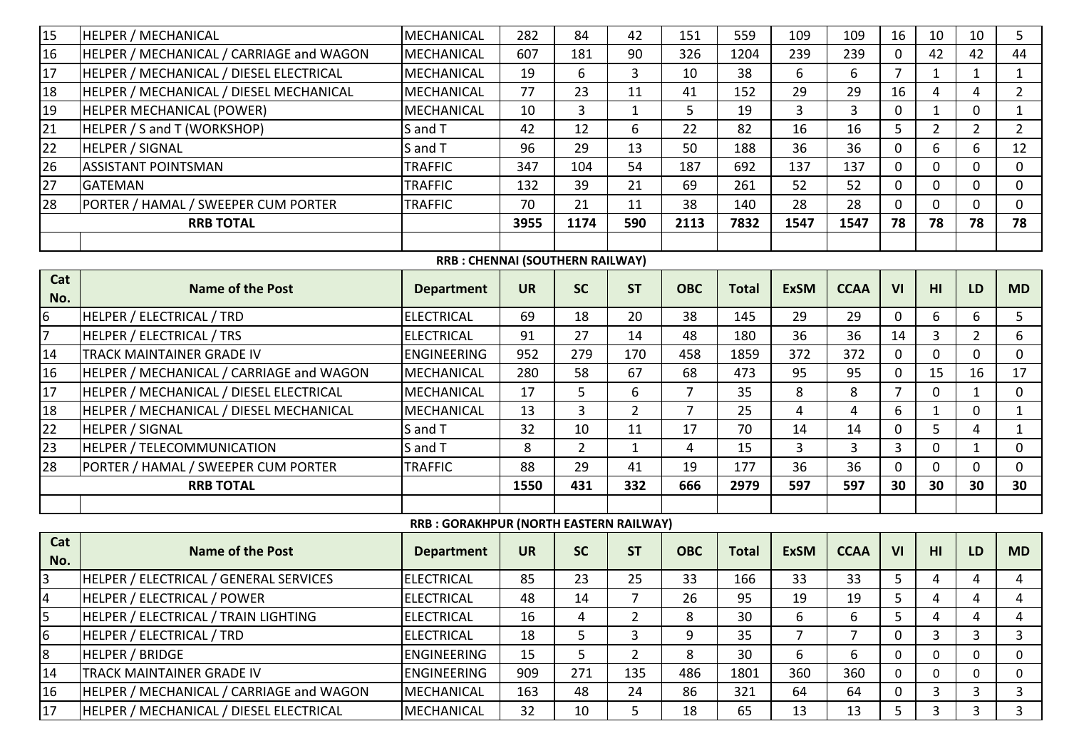| 15              | <b>HELPER / MECHANICAL</b>               | <b>MECHANICAL</b>                       | 282       | 84             | 42             | 151            | 559          | 109         | 109         | 16             | 10             | 10             | 5              |
|-----------------|------------------------------------------|-----------------------------------------|-----------|----------------|----------------|----------------|--------------|-------------|-------------|----------------|----------------|----------------|----------------|
| 16              | HELPER / MECHANICAL / CARRIAGE and WAGON | <b>MECHANICAL</b>                       | 607       | 181            | 90             | 326            | 1204         | 239         | 239         | $\mathbf 0$    | 42             | 42             | 44             |
| 17              | HELPER / MECHANICAL / DIESEL ELECTRICAL  | <b>MECHANICAL</b>                       | 19        | 6              | 3              | 10             | 38           | 6           | 6           | $\overline{7}$ | $\mathbf{1}$   | $\mathbf{1}$   | $\mathbf{1}$   |
| 18              | HELPER / MECHANICAL / DIESEL MECHANICAL  | <b>MECHANICAL</b>                       | 77        | 23             | 11             | 41             | 152          | 29          | 29          | 16             | 4              | 4              | $\overline{2}$ |
| 19              | HELPER MECHANICAL (POWER)                | <b>MECHANICAL</b>                       | 10        | 3              | 1              | 5              | 19           | 3           | 3           | $\mathbf 0$    | $\mathbf{1}$   | $\mathbf{0}$   | $\mathbf{1}$   |
| 21              | HELPER / S and T (WORKSHOP)              | S and T                                 | 42        | 12             | 6              | 22             | 82           | 16          | 16          | 5              | $\overline{2}$ | $\overline{2}$ | $2^{\circ}$    |
| 22              | <b>HELPER / SIGNAL</b>                   | S and T                                 | 96        | 29             | 13             | 50             | 188          | 36          | 36          | $\mathbf 0$    | 6              | 6              | 12             |
| 26              | <b>ASSISTANT POINTSMAN</b>               | <b>TRAFFIC</b>                          | 347       | 104            | 54             | 187            | 692          | 137         | 137         | $\overline{0}$ | $\overline{0}$ | $\mathbf{0}$   | $\overline{0}$ |
| 27              | <b>GATEMAN</b>                           | <b>TRAFFIC</b>                          | 132       | 39             | 21             | 69             | 261          | 52          | 52          | $\mathbf 0$    | $\mathbf{0}$   | 0              | $\mathbf 0$    |
| 28              | PORTER / HAMAL / SWEEPER CUM PORTER      | <b>TRAFFIC</b>                          | 70        | 21             | 11             | 38             | 140          | 28          | 28          | $\mathbf{0}$   | $\overline{0}$ | $\overline{0}$ | $\mathbf 0$    |
|                 | <b>RRB TOTAL</b>                         |                                         | 3955      | 1174           | 590            | 2113           | 7832         | 1547        | 1547        | 78             | 78             | 78             | 78             |
|                 |                                          |                                         |           |                |                |                |              |             |             |                |                |                |                |
|                 |                                          | RRB: CHENNAI (SOUTHERN RAILWAY)         |           |                |                |                |              |             |             |                |                |                |                |
| Cat<br>No.      | <b>Name of the Post</b>                  | <b>Department</b>                       | <b>UR</b> | <b>SC</b>      | <b>ST</b>      | <b>OBC</b>     | <b>Total</b> | <b>ExSM</b> | <b>CCAA</b> | VI             | HI             | LD             | <b>MD</b>      |
| $6\overline{6}$ | HELPER / ELECTRICAL / TRD                | <b>ELECTRICAL</b>                       | 69        | 18             | 20             | 38             | 145          | 29          | 29          | 0              | 6              | 6              | 5              |
| $\overline{7}$  | <b>HELPER / ELECTRICAL / TRS</b>         | <b>ELECTRICAL</b>                       | 91        | 27             | 14             | 48             | 180          | 36          | 36          | 14             | $\overline{3}$ | $\overline{2}$ | 6              |
| 14              | <b>TRACK MAINTAINER GRADE IV</b>         | <b>ENGINEERING</b>                      | 952       | 279            | 170            | 458            | 1859         | 372         | 372         | 0              | $\Omega$       | $\Omega$       | $\mathbf 0$    |
| 16              | HELPER / MECHANICAL / CARRIAGE and WAGON | <b>MECHANICAL</b>                       | 280       | 58             | 67             | 68             | 473          | 95          | 95          | $\mathbf 0$    | 15             | 16             | 17             |
| 17              | HELPER / MECHANICAL / DIESEL ELECTRICAL  | <b>MECHANICAL</b>                       | 17        | 5              | 6              | $\overline{7}$ | 35           | 8           | 8           | $\overline{7}$ | $\mathbf 0$    | $\mathbf{1}$   | $\mathbf 0$    |
| 18              | HELPER / MECHANICAL / DIESEL MECHANICAL  | MECHANICAL                              | 13        | 3              | $\overline{2}$ | $\overline{7}$ | 25           | 4           | 4           | 6              | $\mathbf{1}$   | 0              | $\mathbf{1}$   |
| 22              | <b>HELPER / SIGNAL</b>                   | S and T                                 | 32        | 10             | 11             | 17             | 70           | 14          | 14          | $\mathbf 0$    | 5              | 4              | $\mathbf{1}$   |
| 23              | HELPER / TELECOMMUNICATION               | S and T                                 | 8         | $\overline{2}$ | 1              | 4              | 15           | 3           | 3           | $\overline{3}$ | $\overline{0}$ | $\mathbf{1}$   | $\mathbf 0$    |
| 28              | PORTER / HAMAL / SWEEPER CUM PORTER      | <b>TRAFFIC</b>                          | 88        | 29             | 41             | 19             | 177          | 36          | 36          | $\mathbf 0$    | $\mathbf{0}$   | $\mathbf{0}$   | $\mathbf 0$    |
|                 | <b>RRB TOTAL</b>                         |                                         | 1550      | 431            | 332            | 666            | 2979         | 597         | 597         | 30             | 30             | 30             | 30             |
|                 |                                          |                                         |           |                |                |                |              |             |             |                |                |                |                |
|                 |                                          | RRB : GORAKHPUR (NORTH EASTERN RAILWAY) |           |                |                |                |              |             |             |                |                |                |                |
| Cat<br>No.      | <b>Name of the Post</b>                  | <b>Department</b>                       | <b>UR</b> | <b>SC</b>      | <b>ST</b>      | <b>OBC</b>     | <b>Total</b> | <b>ExSM</b> | <b>CCAA</b> | VI             | HI             | LD             | <b>MD</b>      |
| $\overline{3}$  | HELPER / ELECTRICAL / GENERAL SERVICES   | <b>ELECTRICAL</b>                       | 85        | 23             | 25             | 33             | 166          | 33          | 33          | 5              | 4              | 4              | 4              |
| 14              | HELPER / ELECTRICAL / POWER              | ELECTRICAL                              | 48        | 14             |                | 26             | 95           | 19          | 19          | 5              | 4              | 4              | 4              |
| 5               | HELPER / ELECTRICAL / TRAIN LIGHTING     | <b>ELECTRICAL</b>                       | 16        | 4              | $\overline{2}$ | 8              | 30           | 6           | 6           | 5              | 4              | 4              | 4              |
| 6               | <b>HELPER / ELECTRICAL / TRD</b>         | <b>ELECTRICAL</b>                       | 18        | 5              | 3              | 9              | 35           | 7           |             | 0              | 3              | 3              | 3              |
| 8               | <b>HELPER / BRIDGE</b>                   | <b>ENGINEERING</b>                      | 15        | 5              | $\overline{2}$ | 8              | 30           | 6           | 6           | 0              | $\mathbf{0}$   | 0              | $\mathbf 0$    |
| 14              | <b>TRACK MAINTAINER GRADE IV</b>         | <b>ENGINEERING</b>                      | 909       | 271            | 135            | 486            | 1801         | 360         | 360         | 0              | $\mathbf{0}$   | 0              | 0              |
| 16              | HELPER / MECHANICAL / CARRIAGE and WAGON | MECHANICAL                              | 163       | 48             | 24             | 86             | 321          | 64          | 64          | $\mathbf 0$    | $\mathbf{3}$   | 3              | 3              |
| 17              | HELPER / MECHANICAL / DIESEL ELECTRICAL  | <b>MECHANICAL</b>                       | 32        | 10             | 5              | 18             | 65           | 13          | 13          | 5              | $\mathbf{3}$   | 3              | 3 <sup>1</sup> |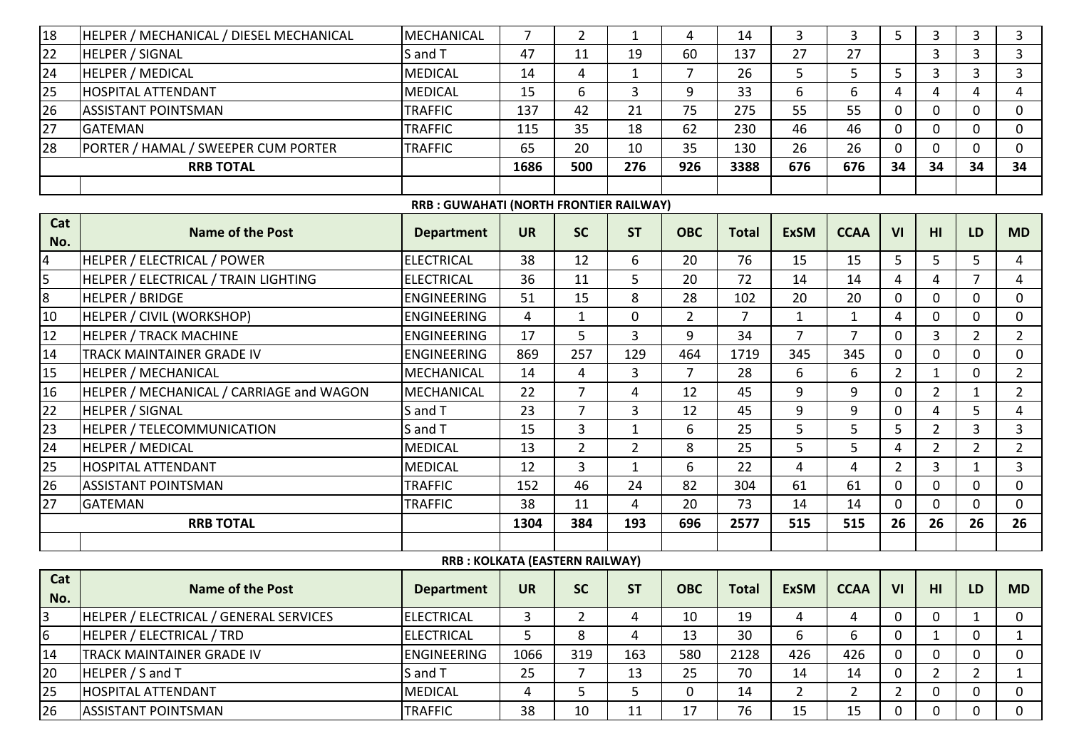| 18              | HELPER / MECHANICAL / DIESEL MECHANICAL  | MECHANICAL                              | 7         | $\overline{2}$ | 1              | 4              | 14             | 3              | 3              | 5              | 3              | 3              | 3              |
|-----------------|------------------------------------------|-----------------------------------------|-----------|----------------|----------------|----------------|----------------|----------------|----------------|----------------|----------------|----------------|----------------|
| 22              | <b>HELPER / SIGNAL</b>                   | S and T                                 | 47        | 11             | 19             | 60             | 137            | 27             | 27             |                | 3              | 3              | 3              |
| 24              | <b>HELPER / MEDICAL</b>                  | <b>MEDICAL</b>                          | 14        | 4              | $\mathbf{1}$   | 7              | 26             | 5              | 5              | 5              | 3              | $\overline{3}$ | $\overline{3}$ |
| 25              | <b>HOSPITAL ATTENDANT</b>                | <b>MEDICAL</b>                          | 15        | 6              | 3              | 9              | 33             | 6              | 6              | 4              | 4              | 4              | $\overline{4}$ |
| 26              | <b>ASSISTANT POINTSMAN</b>               | <b>TRAFFIC</b>                          | 137       | 42             | 21             | 75             | 275            | 55             | 55             | $\mathbf 0$    | $\Omega$       | $\Omega$       | $\mathbf{0}$   |
| 27              | <b>GATEMAN</b>                           | <b>TRAFFIC</b>                          | 115       | 35             | 18             | 62             | 230            | 46             | 46             | $\mathbf 0$    | $\Omega$       | $\Omega$       | $\mathbf 0$    |
| 28              | PORTER / HAMAL / SWEEPER CUM PORTER      | <b>TRAFFIC</b>                          | 65        | 20             | 10             | 35             | 130            | 26             | 26             | 0              | $\Omega$       | $\Omega$       | $\mathbf{0}$   |
|                 | <b>RRB TOTAL</b>                         |                                         | 1686      | 500            | 276            | 926            | 3388           | 676            | 676            | 34             | 34             | 34             | 34             |
|                 |                                          |                                         |           |                |                |                |                |                |                |                |                |                |                |
|                 |                                          | RRB : GUWAHATI (NORTH FRONTIER RAILWAY) |           |                |                |                |                |                |                |                |                |                |                |
| Cat<br>No.      | <b>Name of the Post</b>                  | <b>Department</b>                       | <b>UR</b> | <b>SC</b>      | <b>ST</b>      | <b>OBC</b>     | <b>Total</b>   | <b>ExSM</b>    | <b>CCAA</b>    | VI             | HI             | LD             | <b>MD</b>      |
| $\overline{a}$  | HELPER / ELECTRICAL / POWER              | <b>ELECTRICAL</b>                       | 38        | 12             | 6              | 20             | 76             | 15             | 15             | 5              | 5 <sup>1</sup> | 5              | $\overline{4}$ |
| $\overline{5}$  | HELPER / ELECTRICAL / TRAIN LIGHTING     | <b>ELECTRICAL</b>                       | 36        | 11             | 5              | 20             | 72             | 14             | 14             | 4              | 4              | $\overline{7}$ | $\overline{4}$ |
| 8               | <b>HELPER / BRIDGE</b>                   | <b>ENGINEERING</b>                      | 51        | 15             | 8              | 28             | 102            | 20             | 20             | $\mathbf 0$    | 0              | 0              | $\mathbf 0$    |
| 10              | HELPER / CIVIL (WORKSHOP)                | <b>ENGINEERING</b>                      | 4         | $\mathbf{1}$   | $\mathbf 0$    | $\overline{2}$ | $\overline{7}$ | $\mathbf{1}$   | $\mathbf{1}$   | 4              | 0              | 0              | $\mathbf 0$    |
| 12              | <b>HELPER / TRACK MACHINE</b>            | <b>ENGINEERING</b>                      | 17        | 5              | 3              | 9              | 34             | $\overline{7}$ | $\overline{7}$ | $\mathbf 0$    | 3              | $\overline{2}$ | $\overline{2}$ |
| 14              | TRACK MAINTAINER GRADE IV                | <b>ENGINEERING</b>                      | 869       | 257            | 129            | 464            | 1719           | 345            | 345            | $\mathbf{0}$   | $\Omega$       | $\Omega$       | $\mathbf 0$    |
| 15              | <b>HELPER / MECHANICAL</b>               | MECHANICAL                              | 14        | 4              | 3              | $\overline{7}$ | 28             | 6              | 6              | $\overline{2}$ | $\mathbf{1}$   | $\mathbf{0}$   | $\overline{2}$ |
| 16              | HELPER / MECHANICAL / CARRIAGE and WAGON | <b>MECHANICAL</b>                       | 22        | 7              | 4              | 12             | 45             | 9              | 9              | 0              | $\overline{2}$ | 1              | $\overline{2}$ |
| 22              | <b>HELPER / SIGNAL</b>                   | S and T                                 | 23        | $\overline{7}$ | $\overline{3}$ | 12             | 45             | 9              | 9              | $\mathbf 0$    | 4              | 5              | $\overline{4}$ |
| $\overline{23}$ | HELPER / TELECOMMUNICATION               | S and T                                 | 15        | 3              | $\mathbf{1}$   | 6              | 25             | 5              | 5              | 5              | $\overline{2}$ | $\overline{3}$ | $\overline{3}$ |
| 24              | <b>HELPER / MEDICAL</b>                  | <b>MEDICAL</b>                          | 13        | $\overline{2}$ | $\overline{2}$ | 8              | 25             | 5              | 5              | 4              | $\overline{2}$ | $\overline{2}$ | $\overline{2}$ |
| 25              | HOSPITAL ATTENDANT                       | <b>MEDICAL</b>                          | 12        | 3              | $\mathbf{1}$   | 6              | 22             | 4              | 4              | $\overline{2}$ | $\overline{3}$ | $\mathbf{1}$   | $\overline{3}$ |
| 26              | <b>ASSISTANT POINTSMAN</b>               | <b>TRAFFIC</b>                          | 152       | 46             | 24             | 82             | 304            | 61             | 61             | $\mathbf 0$    | $\overline{0}$ | $\mathbf 0$    | $\mathbf 0$    |
| 27              | <b>GATEMAN</b>                           | <b>TRAFFIC</b>                          | 38        | 11             | 4              | 20             | 73             | 14             | 14             | $\mathbf 0$    | 0              | $\mathbf{0}$   | $\mathbf 0$    |
|                 | <b>RRB TOTAL</b>                         |                                         | 1304      | 384            | 193            | 696            | 2577           | 515            | 515            | 26             | 26             | 26             | 26             |
|                 |                                          |                                         |           |                |                |                |                |                |                |                |                |                |                |
|                 |                                          | RRB: KOLKATA (EASTERN RAILWAY)          |           |                |                |                |                |                |                |                |                |                |                |
| Cat<br>No.      | <b>Name of the Post</b>                  | <b>Department</b>                       | <b>UR</b> | <b>SC</b>      | <b>ST</b>      | <b>OBC</b>     | <b>Total</b>   | <b>ExSM</b>    | <b>CCAA</b>    | VI             | HI             | LD             | <b>MD</b>      |
| $\overline{3}$  | HELPER / ELECTRICAL / GENERAL SERVICES   | <b>ELECTRICAL</b>                       | 3         | $\overline{2}$ | 4              | 10             | 19             | 4              | 4              | $\mathbf 0$    | $\mathbf 0$    | $\mathbf{1}$   | $\mathbf 0$    |
| $6\overline{6}$ | HELPER / ELECTRICAL / TRD                | <b>ELECTRICAL</b>                       | 5         | 8              | 4              | 13             | 30             | 6              | 6              | 0              | 1              | 0              | $\mathbf{1}$   |
| 14              | TRACK MAINTAINER GRADE IV                | <b>ENGINEERING</b>                      | 1066      | 319            | 163            | 580            | 2128           | 426            | 426            | $\mathbf 0$    | $\mathbf 0$    | $\Omega$       | $\mathbf 0$    |
| 20              | HELPER / S and T                         | S and T                                 | 25        | 7              | 13             | 25             | 70             | 14             | 14             | $\mathbf 0$    | $\overline{2}$ | $2^{\circ}$    | $\mathbf{1}$   |
| 25              | <b>HOSPITAL ATTENDANT</b>                | <b>MEDICAL</b>                          | 4         | 5              | 5              | $\mathbf 0$    | 14             | $2^{\circ}$    | $2^{\circ}$    | $\overline{2}$ | 0              | $\Omega$       | 0              |
| 26              | <b>ASSISTANT POINTSMAN</b>               | <b>TRAFFIC</b>                          | 38        | 10             | 11             | 17             | 76             | 15             | 15             | 0              | 0              | 0              | 0              |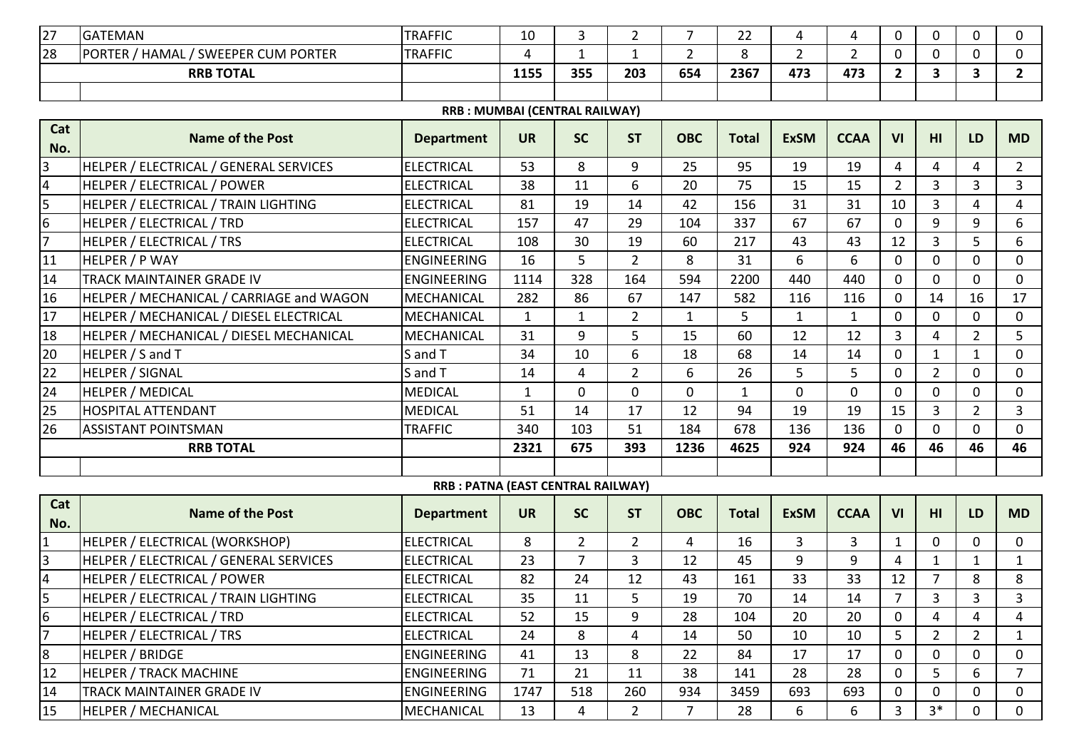| 27              | <b>GATEMAN</b>                           | <b>TRAFFIC</b>                     | 10           | 3              | $\overline{2}$ | $\overline{7}$ | 22           | 4              | 4              | 0              | 0              | 0              | 0              |
|-----------------|------------------------------------------|------------------------------------|--------------|----------------|----------------|----------------|--------------|----------------|----------------|----------------|----------------|----------------|----------------|
| 28              | PORTER / HAMAL / SWEEPER CUM PORTER      | <b>TRAFFIC</b>                     | 4            | $\mathbf{1}$   | $\mathbf{1}$   | $\overline{2}$ | 8            | $\overline{2}$ | $\overline{2}$ | 0              | $\mathbf{0}$   | $\mathbf{0}$   | $\mathbf 0$    |
|                 | <b>RRB TOTAL</b>                         |                                    | 1155         | 355            | 203            | 654            | 2367         | 473            | 473            | $\overline{2}$ | 3              | 3              | $\mathbf{2}$   |
|                 |                                          |                                    |              |                |                |                |              |                |                |                |                |                |                |
|                 |                                          | RRB: MUMBAI (CENTRAL RAILWAY)      |              |                |                |                |              |                |                |                |                |                |                |
| Cat<br>No.      | <b>Name of the Post</b>                  | <b>Department</b>                  | <b>UR</b>    | <b>SC</b>      | <b>ST</b>      | <b>OBC</b>     | <b>Total</b> | <b>ExSM</b>    | <b>CCAA</b>    | VI             | HI             | LD             | <b>MD</b>      |
| 3               | HELPER / ELECTRICAL / GENERAL SERVICES   | <b>ELECTRICAL</b>                  | 53           | 8              | 9              | 25             | 95           | 19             | 19             | 4              | 4              | 4              | $\overline{2}$ |
| 4               | HELPER / ELECTRICAL / POWER              | <b>ELECTRICAL</b>                  | 38           | 11             | 6              | 20             | 75           | 15             | 15             | $2^{\circ}$    | $\overline{3}$ | $\overline{3}$ | $\overline{3}$ |
| $\overline{5}$  | HELPER / ELECTRICAL / TRAIN LIGHTING     | <b>ELECTRICAL</b>                  | 81           | 19             | 14             | 42             | 156          | 31             | 31             | 10             | $\overline{3}$ | 4              | 4              |
| $6\overline{6}$ | HELPER / ELECTRICAL / TRD                | <b>ELECTRICAL</b>                  | 157          | 47             | 29             | 104            | 337          | 67             | 67             | $\overline{0}$ | 9              | 9              | 6              |
| $\overline{7}$  | HELPER / ELECTRICAL / TRS                | <b>ELECTRICAL</b>                  | 108          | 30             | 19             | 60             | 217          | 43             | 43             | 12             | $\overline{3}$ | 5              | 6              |
| 11              | HELPER / P WAY                           | <b>ENGINEERING</b>                 | 16           | 5              | $\overline{2}$ | 8              | 31           | 6              | 6              | $\overline{0}$ | $\Omega$       | $\mathbf{0}$   | $\mathbf{0}$   |
| 14              | TRACK MAINTAINER GRADE IV                | <b>ENGINEERING</b>                 | 1114         | 328            | 164            | 594            | 2200         | 440            | 440            | 0              | 0              | 0              | $\mathbf 0$    |
| 16              | HELPER / MECHANICAL / CARRIAGE and WAGON | <b>MECHANICAL</b>                  | 282          | 86             | 67             | 147            | 582          | 116            | 116            | $\mathbf 0$    | 14             | 16             | 17             |
| 17              | HELPER / MECHANICAL / DIESEL ELECTRICAL  | MECHANICAL                         | $\mathbf{1}$ | 1              | $\overline{2}$ | $\mathbf{1}$   | 5            | $\mathbf{1}$   |                | 0              | 0              | 0              | $\mathbf 0$    |
| 18              | HELPER / MECHANICAL / DIESEL MECHANICAL  | MECHANICAL                         | 31           | 9              | 5              | 15             | 60           | 12             | 12             | $\overline{3}$ | 4              | $\overline{2}$ | 5              |
| 20              | HELPER / S and T                         | S and T                            | 34           | 10             | 6              | 18             | 68           | 14             | 14             | $\mathbf 0$    | $\mathbf{1}$   | $\mathbf{1}$   | $\overline{0}$ |
| 22              | <b>HELPER / SIGNAL</b>                   | S and T                            | 14           | 4              | $\overline{2}$ | 6              | 26           | 5              | 5              | $\mathbf 0$    | $\overline{2}$ | 0              | $\mathbf 0$    |
| 24              | <b>HELPER / MEDICAL</b>                  | <b>MEDICAL</b>                     | $\mathbf{1}$ | $\Omega$       | $\Omega$       | $\Omega$       | $\mathbf{1}$ | $\Omega$       | $\Omega$       | $\overline{0}$ | $\Omega$       | 0              | $\mathbf 0$    |
| 25              | <b>HOSPITAL ATTENDANT</b>                | <b>MEDICAL</b>                     | 51           | 14             | 17             | 12             | 94           | 19             | 19             | 15             | 3              | $\overline{2}$ | 3              |
| 26              | <b>ASSISTANT POINTSMAN</b>               | <b>TRAFFIC</b>                     | 340          | 103            | 51             | 184            | 678          | 136            | 136            | $\mathbf 0$    | $\Omega$       | 0              | $\mathbf{0}$   |
|                 | <b>RRB TOTAL</b>                         |                                    | 2321         | 675            | 393            | 1236           | 4625         | 924            | 924            | 46             | 46             | 46             | 46             |
|                 |                                          |                                    |              |                |                |                |              |                |                |                |                |                |                |
|                 |                                          | RRB : PATNA (EAST CENTRAL RAILWAY) |              |                |                |                |              |                |                |                |                |                |                |
| Cat<br>No.      | <b>Name of the Post</b>                  | <b>Department</b>                  | <b>UR</b>    | <b>SC</b>      | <b>ST</b>      | <b>OBC</b>     | <b>Total</b> | <b>ExSM</b>    | <b>CCAA</b>    | VI             | HI             | <b>LD</b>      | <b>MD</b>      |
| 1               | HELPER / ELECTRICAL (WORKSHOP)           | <b>ELECTRICAL</b>                  | 8            | $\overline{2}$ | $\overline{2}$ | 4              | 16           | 3              | 3              | $\mathbf{1}$   | $\mathbf 0$    | 0              | 0              |
| $\overline{3}$  | HELPER / ELECTRICAL / GENERAL SERVICES   | <b>ELECTRICAL</b>                  | 23           | $\overline{7}$ | 3              | 12             | 45           | 9              | 9              | 4              | 1              | 1              | 1              |
| $\overline{4}$  | HELPER / ELECTRICAL / POWER              | <b>ELECTRICAL</b>                  | 82           | 24             | 12             | 43             | 161          | 33             | 33             | 12             | $\overline{7}$ | 8              | 8              |
| 5               | HELPER / ELECTRICAL / TRAIN LIGHTING     | <b>ELECTRICAL</b>                  | 35           | 11             | 5              | 19             | 70           | 14             | 14             | $\overline{7}$ | 3              | 3              | 3              |
| 6               | HELPER / ELECTRICAL / TRD                | <b>ELECTRICAL</b>                  | 52           | 15             | 9              | 28             | 104          | 20             | 20             | 0              | 4              | 4              | 4              |
| 17              | HELPER / ELECTRICAL / TRS                | <b>ELECTRICAL</b>                  | 24           | 8              | 4              | 14             | 50           | 10             | 10             | 5              | $\overline{2}$ | $\overline{2}$ | $\mathbf{1}$   |
| 8               | <b>HELPER / BRIDGE</b>                   | ENGINEERING                        | 41           | 13             | 8              | 22             | 84           | 17             | 17             | 0              | $\Omega$       | 0              | 0              |
| 12              | <b>HELPER / TRACK MACHINE</b>            | <b>ENGINEERING</b>                 | 71           | 21             | 11             | 38             | 141          | 28             | 28             | 0              | 5              | 6              | $\overline{7}$ |
| 14              | TRACK MAINTAINER GRADE IV                | ENGINEERING                        | 1747         | 518            | 260            | 934            | 3459         | 693            | 693            | 0              | 0              | 0              | 0              |
| 15              | <b>HELPER / MECHANICAL</b>               | MECHANICAL                         | 13           | 4              | $2^{\circ}$    | $\overline{7}$ | 28           | 6              | 6              | $\overline{3}$ | $3*$           | 0              | $\mathbf{0}$   |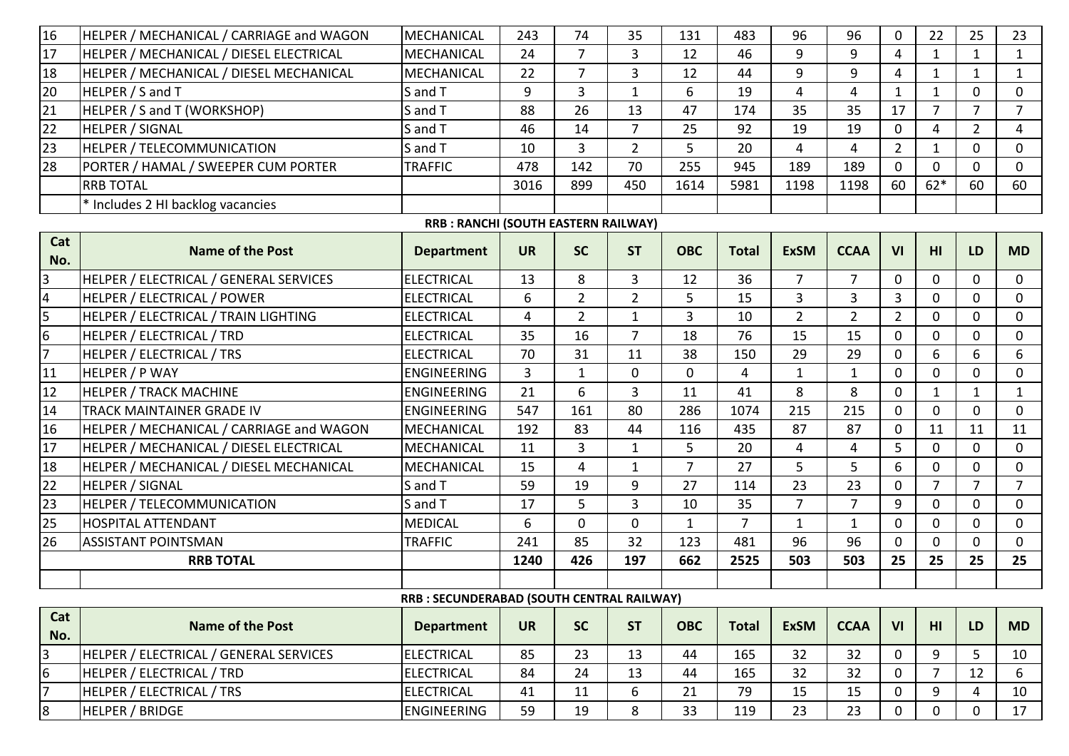| 16              | HELPER / MECHANICAL / CARRIAGE and WAGON | <b>MECHANICAL</b>                          | 243       | 74             | 35             | 131            | 483            | 96             | 96             | $\mathbf 0$    | 22             | 25             | 23             |
|-----------------|------------------------------------------|--------------------------------------------|-----------|----------------|----------------|----------------|----------------|----------------|----------------|----------------|----------------|----------------|----------------|
| 17              | HELPER / MECHANICAL / DIESEL ELECTRICAL  | MECHANICAL                                 | 24        | $\overline{7}$ | 3              | 12             | 46             | 9              | 9              | $\overline{4}$ | $\mathbf{1}$   | $\mathbf{1}$   | $\mathbf{1}$   |
| 18              | HELPER / MECHANICAL / DIESEL MECHANICAL  | MECHANICAL                                 | 22        | $\overline{7}$ | 3              | 12             | 44             | 9              | 9              | 4              | $\mathbf{1}$   | $\mathbf{1}$   | $\mathbf{1}$   |
| 20              | HELPER / S and T                         | S and T                                    | 9         | 3              | $\mathbf{1}$   | 6              | 19             | 4              | 4              | $\mathbf{1}$   | $\mathbf{1}$   | $\mathbf 0$    | $\mathbf 0$    |
| 21              | HELPER / S and T (WORKSHOP)              | S and T                                    | 88        | 26             | 13             | 47             | 174            | 35             | 35             | 17             | $\overline{7}$ | $\overline{7}$ | $\overline{7}$ |
| 22              | <b>HELPER / SIGNAL</b>                   | S and T                                    | 46        | 14             | $\overline{7}$ | 25             | 92             | 19             | 19             | $\overline{0}$ | 4              | $2^{\circ}$    | $\overline{4}$ |
| 23              | <b>HELPER / TELECOMMUNICATION</b>        | S and T                                    | 10        | 3              | $\overline{2}$ | 5              | 20             | 4              | 4              | $2^{\circ}$    | $\mathbf{1}$   | $\overline{0}$ | $\mathbf 0$    |
| 28              | PORTER / HAMAL / SWEEPER CUM PORTER      | <b>TRAFFIC</b>                             | 478       | 142            | 70             | 255            | 945            | 189            | 189            | $\overline{0}$ | $\mathbf{0}$   | 0              | $\mathbf 0$    |
|                 | <b>RRB TOTAL</b>                         |                                            | 3016      | 899            | 450            | 1614           | 5981           | 1198           | 1198           | 60             | $62*$          | 60             | 60             |
|                 | * Includes 2 HI backlog vacancies        |                                            |           |                |                |                |                |                |                |                |                |                |                |
|                 |                                          | RRB: RANCHI (SOUTH EASTERN RAILWAY)        |           |                |                |                |                |                |                |                |                |                |                |
| Cat<br>No.      | <b>Name of the Post</b>                  | <b>Department</b>                          | <b>UR</b> | <b>SC</b>      | <b>ST</b>      | <b>OBC</b>     | <b>Total</b>   | <b>ExSM</b>    | <b>CCAA</b>    | VI             | HI             | LD             | <b>MD</b>      |
| $\overline{3}$  | HELPER / ELECTRICAL / GENERAL SERVICES   | <b>ELECTRICAL</b>                          | 13        | 8              | $\overline{3}$ | 12             | 36             | 7              | 7              | $\mathbf 0$    | $\Omega$       | $\mathbf 0$    | $\mathbf 0$    |
| $\overline{4}$  | <b>HELPER / ELECTRICAL / POWER</b>       | <b>ELECTRICAL</b>                          | 6         | $\overline{2}$ | $\overline{2}$ | 5              | 15             | $\overline{3}$ | $\overline{3}$ | $\overline{3}$ | $\Omega$       | $\Omega$       | $\overline{0}$ |
| $\overline{5}$  | HELPER / ELECTRICAL / TRAIN LIGHTING     | <b>ELECTRICAL</b>                          | 4         | $\overline{2}$ | $\mathbf{1}$   | 3              | 10             | $\overline{2}$ | $\overline{2}$ | $\overline{2}$ | 0              | $\mathbf{0}$   | $\mathbf 0$    |
| $6\overline{6}$ | HELPER / ELECTRICAL / TRD                | <b>ELECTRICAL</b>                          | 35        | 16             | $\overline{7}$ | 18             | 76             | 15             | 15             | $\overline{0}$ | 0              | 0              | $\mathbf 0$    |
| 7               | <b>HELPER / ELECTRICAL / TRS</b>         | <b>ELECTRICAL</b>                          | 70        | 31             | 11             | 38             | 150            | 29             | 29             | $\mathbf 0$    | 6              | 6              | 6              |
| 11              | HELPER / P WAY                           | <b>ENGINEERING</b>                         | 3         | $\mathbf{1}$   | $\mathbf 0$    | $\mathbf 0$    | 4              | $\mathbf{1}$   | $\mathbf{1}$   | $\overline{0}$ | $\Omega$       | 0              | $\mathbf 0$    |
| 12              | <b>HELPER / TRACK MACHINE</b>            | <b>ENGINEERING</b>                         | 21        | 6              | 3              | 11             | 41             | 8              | 8              | $\mathbf 0$    | $\mathbf{1}$   | $\mathbf{1}$   | $\mathbf{1}$   |
| 14              | TRACK MAINTAINER GRADE IV                | <b>ENGINEERING</b>                         | 547       | 161            | 80             | 286            | 1074           | 215            | 215            | $\mathbf 0$    | 0              | 0              | $\mathbf 0$    |
| 16              | HELPER / MECHANICAL / CARRIAGE and WAGON | <b>MECHANICAL</b>                          | 192       | 83             | 44             | 116            | 435            | 87             | 87             | $\mathbf 0$    | 11             | 11             | 11             |
| 17              | HELPER / MECHANICAL / DIESEL ELECTRICAL  | <b>MECHANICAL</b>                          | 11        | 3              | 1              | 5              | 20             | 4              | 4              | 5              | $\Omega$       | $\Omega$       | $\mathbf 0$    |
| 18              | HELPER / MECHANICAL / DIESEL MECHANICAL  | <b>MECHANICAL</b>                          | 15        | 4              | $\mathbf{1}$   | $\overline{7}$ | 27             | 5              | 5              | 6              | $\Omega$       | $\Omega$       | $\overline{0}$ |
| 22              | <b>HELPER / SIGNAL</b>                   | S and T                                    | 59        | 19             | 9              | 27             | 114            | 23             | 23             | 0              | 7              | $\overline{7}$ | $\overline{7}$ |
| 23              | <b>HELPER / TELECOMMUNICATION</b>        | S and T                                    | 17        | 5              | $\overline{3}$ | 10             | 35             | $\overline{7}$ | $\overline{7}$ | 9              | $\Omega$       | $\Omega$       | $\overline{0}$ |
| 25              | <b>HOSPITAL ATTENDANT</b>                | <b>MEDICAL</b>                             | 6         | $\mathbf 0$    | $\mathbf 0$    | 1              | $\overline{7}$ | $\mathbf{1}$   | $\mathbf{1}$   | $\mathbf 0$    | $\Omega$       | $\mathbf{0}$   | $\overline{0}$ |
| 26              | <b>ASSISTANT POINTSMAN</b>               | <b>TRAFFIC</b>                             | 241       | 85             | 32             | 123            | 481            | 96             | 96             | $\overline{0}$ | $\mathbf 0$    | $\mathbf{0}$   | $\overline{0}$ |
|                 | <b>RRB TOTAL</b>                         |                                            | 1240      | 426            | 197            | 662            | 2525           | 503            | 503            | 25             | 25             | 25             | 25             |
|                 |                                          |                                            |           |                |                |                |                |                |                |                |                |                |                |
|                 |                                          | RRB : SECUNDERABAD (SOUTH CENTRAL RAILWAY) |           |                |                |                |                |                |                |                |                |                |                |
| Cat<br>No.      | Name of the Post                         | <b>Department</b>                          | <b>UR</b> | <b>SC</b>      | <b>ST</b>      | <b>OBC</b>     | <b>Total</b>   | <b>ExSM</b>    | <b>CCAA</b>    | VI             | HI.            | <b>LD</b>      | <b>MD</b>      |
| $\overline{3}$  | HELPER / ELECTRICAL / GENERAL SERVICES   | <b>ELECTRICAL</b>                          | 85        | 23             | 13             | 44             | 165            | 32             | 32             | 0              | 9              | 5              | 10             |
| 6               | <b>HELPER / ELECTRICAL / TRD</b>         | <b>ELECTRICAL</b>                          | 84        | 24             | 13             | 44             | 165            | 32             | 32             | $\mathbf 0$    | $\overline{7}$ | 12             | 6              |
| 7               | <b>HELPER / ELECTRICAL / TRS</b>         | <b>ELECTRICAL</b>                          | 41        | 11             | 6              | 21             | 79             | 15             | 15             | 0              | 9              | 4              | 10             |
| 8               | <b>HELPER / BRIDGE</b>                   | <b>ENGINEERING</b>                         | 59        | 19             | 8              | 33             | 119            | 23             | 23             | $\mathbf 0$    | 0              | $\mathbf{0}$   | 17             |